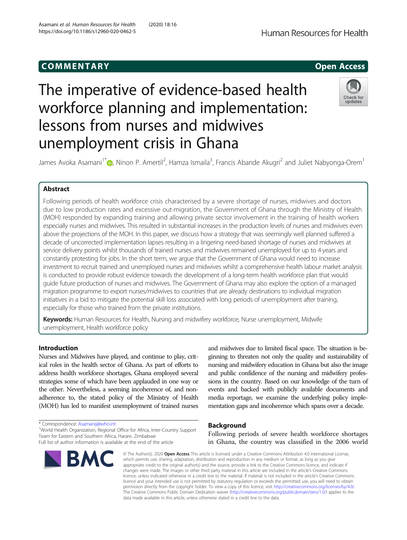## COMM EN TARY Open Access

# The imperative of evidence-based health workforce planning and implementation: lessons from nurses and midwives unemployment crisis in Ghana



James Avoka Asamani<sup>1[\\*](http://orcid.org/0000-0003-0620-6010)</sup>�, Ninon P. Amertil<sup>2</sup>, Hamza Ismaila<sup>3</sup>, Francis Abande Akugri<sup>2</sup> and Juliet Nabyonga-Orem<sup>1</sup>

## Abstract

Following periods of health workforce crisis characterised by a severe shortage of nurses, midwives and doctors due to low production rates and excessive out-migration, the Government of Ghana through the Ministry of Health (MOH) responded by expanding training and allowing private sector involvement in the training of health workers especially nurses and midwives. This resulted in substantial increases in the production levels of nurses and midwives even above the projections of the MOH. In this paper, we discuss how a strategy that was seemingly well planned suffered a decade of uncorrected implementation lapses resulting in a lingering need-based shortage of nurses and midwives at service delivery points whilst thousands of trained nurses and midwives remained unemployed for up to 4 years and constantly protesting for jobs. In the short term, we argue that the Government of Ghana would need to increase investment to recruit trained and unemployed nurses and midwives whilst a comprehensive health labour market analysis is conducted to provide robust evidence towards the development of a long-term health workforce plan that would guide future production of nurses and midwives. The Government of Ghana may also explore the option of a managed migration programme to export nurses/midwives to countries that are already destinations to individual migration initiatives in a bid to mitigate the potential skill loss associated with long periods of unemployment after training, especially for those who trained from the private institutions.

Keywords: Human Resources for Health, Nursing and midwifery workforce, Nurse unemployment, Midwife unemployment, Health workforce policy

## Introduction

Nurses and Midwives have played, and continue to play, critical roles in the health sector of Ghana. As part of efforts to address health workforce shortages, Ghana employed several strategies some of which have been applauded in one way or the other. Nevertheless, a seeming incoherence of, and nonadherence to, the stated policy of the Ministry of Health (MOH) has led to manifest unemployment of trained nurses

\* Correspondence: [Asamanij@who.int](mailto:Asamanij@who.int) <sup>1</sup>

<sup>1</sup>World Health Organization, Regional Office for Africa, Inter-Country Support Team for Eastern and Southern Africa, Harare, Zimbabwe Full list of author information is available at the end of the article

**BMC** 

and midwives due to limited fiscal space. The situation is beginning to threaten not only the quality and sustainability of nursing and midwifery education in Ghana but also the image and public confidence of the nursing and midwifery professions in the country. Based on our knowledge of the turn of events and backed with publicly available documents and media reportage, we examine the underlying policy implementation gaps and incoherence which spans over a decade.

## Background

Following periods of severe health workforce shortages in Ghana, the country was classified in the 2006 world

© The Author(s), 2020 **Open Access** This article is licensed under a Creative Commons Attribution 4.0 International License, which permits use, sharing, adaptation, distribution and reproduction in any medium or format, as long as you give appropriate credit to the original author(s) and the source, provide a link to the Creative Commons licence, and indicate if changes were made. The images or other third party material in this article are included in the article's Creative Commons licence, unless indicated otherwise in a credit line to the material. If material is not included in the article's Creative Commons licence and your intended use is not permitted by statutory regulation or exceeds the permitted use, you will need to obtain permission directly from the copyright holder. To view a copy of this licence, visit [http://creativecommons.org/licenses/by/4.0/.](http://creativecommons.org/licenses/by/4.0/) The Creative Commons Public Domain Dedication waiver [\(http://creativecommons.org/publicdomain/zero/1.0/](http://creativecommons.org/publicdomain/zero/1.0/)) applies to the data made available in this article, unless otherwise stated in a credit line to the data.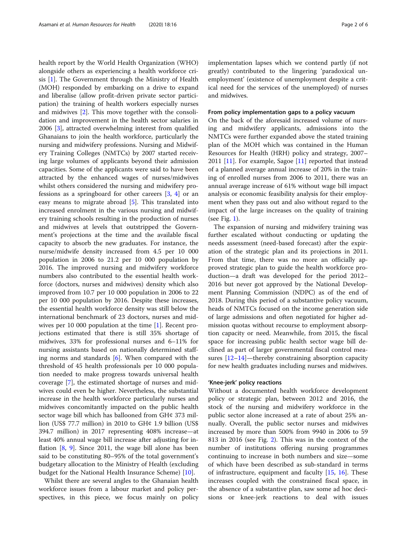health report by the World Health Organization (WHO) alongside others as experiencing a health workforce crisis [\[1](#page-5-0)]. The Government through the Ministry of Health (MOH) responded by embarking on a drive to expand and liberalise (allow profit-driven private sector participation) the training of health workers especially nurses and midwives [\[2](#page-5-0)]. This move together with the consolidation and improvement in the health sector salaries in 2006 [\[3\]](#page-5-0), attracted overwhelming interest from qualified Ghanaians to join the health workforce, particularly the nursing and midwifery professions. Nursing and Midwifery Training Colleges (NMTCs) by 2007 started receiving large volumes of applicants beyond their admission capacities. Some of the applicants were said to have been attracted by the enhanced wages of nurses/midwives whilst others considered the nursing and midwifery professions as a springboard for other careers [\[3](#page-5-0), [4](#page-5-0)] or an easy means to migrate abroad [\[5](#page-5-0)]. This translated into increased enrolment in the various nursing and midwifery training schools resulting in the production of nurses and midwives at levels that outstripped the Government's projections at the time and the available fiscal capacity to absorb the new graduates. For instance, the nurse/midwife density increased from 4.5 per 10 000 population in 2006 to 21.2 per 10 000 population by 2016. The improved nursing and midwifery workforce numbers also contributed to the essential health workforce (doctors, nurses and midwives) density which also improved from 10.7 per 10 000 population in 2006 to 22 per 10 000 population by 2016. Despite these increases, the essential health workforce density was still below the international benchmark of 23 doctors, nurses and midwives per 10 000 population at the time [\[1](#page-5-0)]. Recent projections estimated that there is still 35% shortage of midwives, 33% for professional nurses and 6–11% for nursing assistants based on nationally determined staffing norms and standards [\[6](#page-5-0)]. When compared with the threshold of 45 health professionals per 10 000 population needed to make progress towards universal health coverage [\[7](#page-5-0)], the estimated shortage of nurses and midwives could even be higher. Nevertheless, the substantial increase in the health workforce particularly nurses and midwives concomitantly impacted on the public health sector wage bill which has ballooned from GH¢ 373 million (US\$ 77.7 million) in 2010 to GH¢ 1.9 billion (US\$ 394.7 million) in 2017 representing 408% increase—at least 40% annual wage bill increase after adjusting for inflation [\[8](#page-5-0), [9\]](#page-5-0). Since 2011, the wage bill alone has been said to be constituting 80–95% of the total government's budgetary allocation to the Ministry of Health (excluding budget for the National Health Insurance Scheme) [\[10](#page-5-0)].

Whilst there are several angles to the Ghanaian health workforce issues from a labour market and policy perspectives, in this piece, we focus mainly on policy

implementation lapses which we contend partly (if not greatly) contributed to the lingering 'paradoxical unemployment' (existence of unemployment despite a critical need for the services of the unemployed) of nurses and midwives.

#### From policy implementation gaps to a policy vacuum

On the back of the aforesaid increased volume of nursing and midwifery applicants, admissions into the NMTCs were further expanded above the stated training plan of the MOH which was contained in the Human Resources for Health (HRH) policy and strategy, 2007– 2011 [[11\]](#page-5-0). For example, Sagoe [[11\]](#page-5-0) reported that instead of a planned average annual increase of 20% in the training of enrolled nurses from 2006 to 2011, there was an annual average increase of 61% without wage bill impact analysis or economic feasibility analysis for their employment when they pass out and also without regard to the impact of the large increases on the quality of training (see Fig. [1\)](#page-2-0).

The expansion of nursing and midwifery training was further escalated without conducting or updating the needs assessment (need-based forecast) after the expiration of the strategic plan and its projections in 2011. From that time, there was no more an officially approved strategic plan to guide the health workforce production—a draft was developed for the period 2012– 2016 but never got approved by the National Development Planning Commission (NDPC) as of the end of 2018. During this period of a substantive policy vacuum, heads of NMTCs focused on the income generation side of large admissions and often negotiated for higher admission quotas without recourse to employment absorption capacity or need. Meanwhile, from 2015, the fiscal space for increasing public health sector wage bill declined as part of larger governmental fiscal control mea-sures [\[12](#page-5-0)–[14](#page-5-0)]—thereby constraining absorption capacity for new health graduates including nurses and midwives.

#### 'Knee-jerk' policy reactions

Without a documented health workforce development policy or strategic plan, between 2012 and 2016, the stock of the nursing and midwifery workforce in the public sector alone increased at a rate of about 25% annually. Overall, the public sector nurses and midwives increased by more than 500% from 9940 in 2006 to 59 813 in 2016 (see Fig. [2](#page-2-0)). This was in the context of the number of institutions offering nursing programmes continuing to increase in both numbers and size—some of which have been described as sub-standard in terms of infrastructure, equipment and faculty [\[15](#page-5-0), [16\]](#page-5-0). These increases coupled with the constrained fiscal space, in the absence of a substantive plan, saw some ad hoc decisions or knee-jerk reactions to deal with issues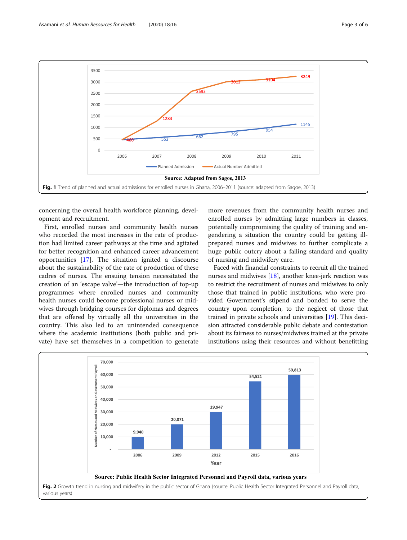<span id="page-2-0"></span>

concerning the overall health workforce planning, development and recruitment.

First, enrolled nurses and community health nurses who recorded the most increases in the rate of production had limited career pathways at the time and agitated for better recognition and enhanced career advancement opportunities [[17\]](#page-5-0). The situation ignited a discourse about the sustainability of the rate of production of these cadres of nurses. The ensuing tension necessitated the creation of an 'escape valve'—the introduction of top-up programmes where enrolled nurses and community health nurses could become professional nurses or midwives through bridging courses for diplomas and degrees that are offered by virtually all the universities in the country. This also led to an unintended consequence where the academic institutions (both public and private) have set themselves in a competition to generate more revenues from the community health nurses and enrolled nurses by admitting large numbers in classes, potentially compromising the quality of training and engendering a situation the country could be getting illprepared nurses and midwives to further complicate a huge public outcry about a falling standard and quality of nursing and midwifery care.

Faced with financial constraints to recruit all the trained nurses and midwives [\[18](#page-5-0)], another knee-jerk reaction was to restrict the recruitment of nurses and midwives to only those that trained in public institutions, who were provided Government's stipend and bonded to serve the country upon completion, to the neglect of those that trained in private schools and universities [[19](#page-5-0)]. This decision attracted considerable public debate and contestation about its fairness to nurses/midwives trained at the private institutions using their resources and without benefitting

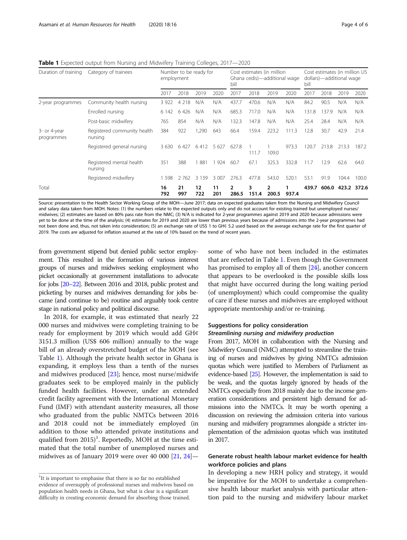| Category of trainees                                                                                                                                              | Number to be ready for<br>employment |           |           |           | Cost estimates (in million<br>Ghana cedis)—additional wage<br>bill |            |            |       | Cost estimates (in million US<br>dollars)—additional wage<br>bill |       |       |             |
|-------------------------------------------------------------------------------------------------------------------------------------------------------------------|--------------------------------------|-----------|-----------|-----------|--------------------------------------------------------------------|------------|------------|-------|-------------------------------------------------------------------|-------|-------|-------------|
|                                                                                                                                                                   | 2017                                 | 2018      | 2019      | 2020      | 2017                                                               | 2018       | 2019       | 2020  | 2017                                                              | 2018  | 2019  | 2020        |
| Community health nursing                                                                                                                                          | 3 9 2 2                              | 4 2 1 8   | N/A       | N/A       | 437.7                                                              | 470.6      | N/A        | N/A   | 84.2                                                              | 90.5  | N/A   | N/A         |
| Enrolled nursing                                                                                                                                                  | 6 142                                | 6 4 2 6   | N/A       | N/A       | 685.3                                                              | 717.0      | N/A        | N/A   | 131.8                                                             | 137.9 | N/A   | N/A         |
| Post-basic midwifery                                                                                                                                              | 765                                  | 854       | N/A       | N/A       | 132.3                                                              | 147.8      | N/A        | N/A   | 25.4                                                              | 28.4  | N/A   | N/A         |
| Registered community health<br>3- or 4-year<br>programmes<br>nursing<br>Registered general nursing<br>Registered mental health<br>nursing<br>Registered midwifery | 384                                  | 922       | 1,290     | 643       | 66.4                                                               | 159.4      | 223.2      | 111.3 | 12.8                                                              | 30.7  | 42.9  | 21.4        |
|                                                                                                                                                                   | 3 6 3 0                              | 6 4 2 7   | 6412      | 5 627     | 627.8                                                              | 111.7      | 109.0      | 973.3 | 120.7                                                             | 213.8 | 213.3 | 187.2       |
|                                                                                                                                                                   | 351                                  | 388       | 881       | 924       | 60.7                                                               | 67.1       | 325.3      | 332.8 | 11.7                                                              | 12.9  | 62.6  | 64.0        |
|                                                                                                                                                                   | 598                                  | 2 7 6 2   | 3 1 3 9   | 3 0 0 7   | 276.3                                                              | 477.8      | 543.0      | 520.1 | 53.1                                                              | 91.9  | 104.4 | 100.0       |
|                                                                                                                                                                   | 16<br>792                            | 21<br>997 | 12<br>722 | 11<br>201 | 2<br>286.5                                                         | 3<br>151.4 | 2<br>200.5 | 937.4 |                                                                   |       |       | 372.6       |
|                                                                                                                                                                   |                                      |           |           |           |                                                                    |            |            |       |                                                                   |       | 439.7 | 606.0 423.2 |

Table 1 Expected output from Nursing and Midwifery Training Colleges, 2017-2020

Source: presentation to the Health Sector Working Group of the MOH—June 2017; data on expected graduates taken from the Nursing and Midwifery Council and salary data taken from MOH. Notes: (1) the numbers relate to the expected outputs only and do not account for existing trained but unemployed nurses/ midwives; (2) estimates are based on 80% pass rate from the NMC; (3) N/A is indicated for 2-year programmes against 2019 and 2020 because admissions were yet to be done at the time of the analysis; (4) estimates for 2019 and 2020 are lower than previous years because of admissions into the 2-year programmes had not been done and, thus, not taken into consideration; (5) an exchange rate of US\$ 1 to GH¢ 5.2 used based on the average exchange rate for the first quarter of 2019. The costs are adjusted for inflation assumed at the rate of 10% based on the trend of recent years.

from government stipend but denied public sector employment. This resulted in the formation of various interest groups of nurses and midwives seeking employment who picket occasionally at government installations to advocate for jobs [[20](#page-5-0)–[22\]](#page-5-0). Between 2016 and 2018, public protest and picketing by nurses and midwives demanding for jobs became (and continue to be) routine and arguably took centre stage in national policy and political discourse.

In 2018, for example, it was estimated that nearly 22 000 nurses and midwives were completing training to be ready for employment by 2019 which would add GH¢ 3151.3 million (US\$ 606 million) annually to the wage bill of an already overstretched budget of the MOH (see Table 1). Although the private health sector in Ghana is expanding, it employs less than a tenth of the nurses and midwives produced [[23\]](#page-5-0); hence, most nurse/midwife graduates seek to be employed mainly in the publicly funded health facilities. However, under an extended credit facility agreement with the International Monetary Fund (IMF) with attendant austerity measures, all those who graduated from the public NMTCs between 2016 and 2018 could not be immediately employed (in addition to those who attended private institutions and qualified from 2015)<sup>1</sup>. Reportedly, MOH at the time estimated that the total number of unemployed nurses and midwives as of January 2019 were over 40 000  $[21, 24]$  $[21, 24]$  $[21, 24]$  $[21, 24]$  $[21, 24]$ —

some of who have not been included in the estimates that are reflected in Table 1. Even though the Government has promised to employ all of them [[24](#page-5-0)], another concern that appears to be overlooked is the possible skills loss that might have occurred during the long waiting period (of unemployment) which could compromise the quality of care if these nurses and midwives are employed without appropriate mentorship and/or re-training.

#### Suggestions for policy consideration Streamlining nursing and midwifery production

From 2017, MOH in collaboration with the Nursing and Midwifery Council (NMC) attempted to streamline the training of nurses and midwives by giving NMTCs admission quotas which were justified to Members of Parliament as evidence-based [\[25\]](#page-5-0). However, the implementation is said to be weak, and the quotas largely ignored by heads of the NMTCs especially from 2018 mainly due to the income generation considerations and persistent high demand for admissions into the NMTCs. It may be worth opening a discussion on reviewing the admission criteria into various nursing and midwifery programmes alongside a stricter implementation of the admission quotas which was instituted in 2017.

### Generate robust health labour market evidence for health workforce policies and plans

In developing a new HRH policy and strategy, it would be imperative for the MOH to undertake a comprehensive health labour market analysis with particular attention paid to the nursing and midwifery labour market

<sup>&</sup>lt;sup>1</sup>It is important to emphasise that there is so far no established evidence of oversupply of professional nurses and midwives based on population health needs in Ghana, but what is clear is a significant difficulty in creating economic demand for absorbing those trained.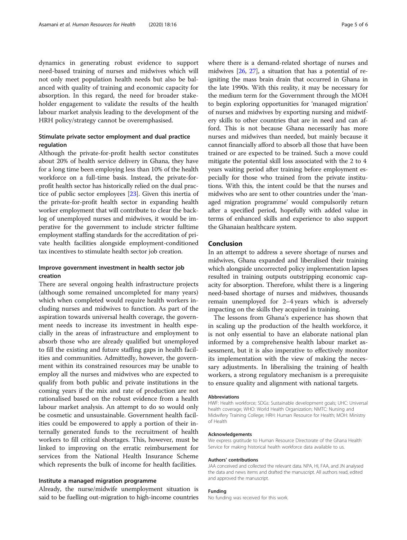dynamics in generating robust evidence to support need-based training of nurses and midwives which will not only meet population health needs but also be balanced with quality of training and economic capacity for absorption. In this regard, the need for broader stakeholder engagement to validate the results of the health labour market analysis leading to the development of the HRH policy/strategy cannot be overemphasised.

## Stimulate private sector employment and dual practice regulation

Although the private-for-profit health sector constitutes about 20% of health service delivery in Ghana, they have for a long time been employing less than 10% of the health workforce on a full-time basis. Instead, the private-forprofit health sector has historically relied on the dual practice of public sector employees [[23\]](#page-5-0). Given this inertia of the private-for-profit health sector in expanding health worker employment that will contribute to clear the backlog of unemployed nurses and midwives, it would be imperative for the government to include stricter fulltime employment staffing standards for the accreditation of private health facilities alongside employment-conditioned tax incentives to stimulate health sector job creation.

#### Improve government investment in health sector job creation

There are several ongoing health infrastructure projects (although some remained uncompleted for many years) which when completed would require health workers including nurses and midwives to function. As part of the aspiration towards universal health coverage, the government needs to increase its investment in health especially in the areas of infrastructure and employment to absorb those who are already qualified but unemployed to fill the existing and future staffing gaps in health facilities and communities. Admittedly, however, the government within its constrained resources may be unable to employ all the nurses and midwives who are expected to qualify from both public and private institutions in the coming years if the mix and rate of production are not rationalised based on the robust evidence from a health labour market analysis. An attempt to do so would only be cosmetic and unsustainable. Government health facilities could be empowered to apply a portion of their internally generated funds to the recruitment of health workers to fill critical shortages. This, however, must be linked to improving on the erratic reimbursement for services from the National Health Insurance Scheme which represents the bulk of income for health facilities.

#### Institute a managed migration programme

Already, the nurse/midwife unemployment situation is said to be fuelling out-migration to high-income countries where there is a demand-related shortage of nurses and midwives [\[26,](#page-5-0) [27\]](#page-5-0), a situation that has a potential of reigniting the mass brain drain that occurred in Ghana in the late 1990s. With this reality, it may be necessary for the medium term for the Government through the MOH to begin exploring opportunities for 'managed migration' of nurses and midwives by exporting nursing and midwifery skills to other countries that are in need and can afford. This is not because Ghana necessarily has more nurses and midwives than needed, but mainly because it cannot financially afford to absorb all those that have been trained or are expected to be trained. Such a move could mitigate the potential skill loss associated with the 2 to 4 years waiting period after training before employment especially for those who trained from the private institutions. With this, the intent could be that the nurses and midwives who are sent to other countries under the 'managed migration programme' would compulsorily return after a specified period, hopefully with added value in terms of enhanced skills and experience to also support the Ghanaian healthcare system.

#### Conclusion

In an attempt to address a severe shortage of nurses and midwives, Ghana expanded and liberalised their training which alongside uncorrected policy implementation lapses resulted in training outputs outstripping economic capacity for absorption. Therefore, whilst there is a lingering need-based shortage of nurses and midwives, thousands remain unemployed for 2–4 years which is adversely impacting on the skills they acquired in training.

The lessons from Ghana's experience has shown that in scaling up the production of the health workforce, it is not only essential to have an elaborate national plan informed by a comprehensive health labour market assessment, but it is also imperative to effectively monitor its implementation with the view of making the necessary adjustments. In liberalising the training of health workers, a strong regulatory mechanism is a prerequisite to ensure quality and alignment with national targets.

#### Abbreviations

HWF: Health workforce; SDGs: Sustainable development goals; UHC: Universal health coverage; WHO: World Health Organization; NMTC: Nursing and Midwifery Training College; HRH: Human Resource for Health; MOH: Ministry of Health

#### Acknowledgements

We express gratitude to Human Resource Directorate of the Ghana Health Service for making historical health workforce data available to us.

#### Authors' contributions

JAA conceived and collected the relevant data. NPA, HI, FAA, and JN analysed the data and news items and drafted the manuscript. All authors read, edited and approved the manuscript.

#### Funding

No funding was received for this work.